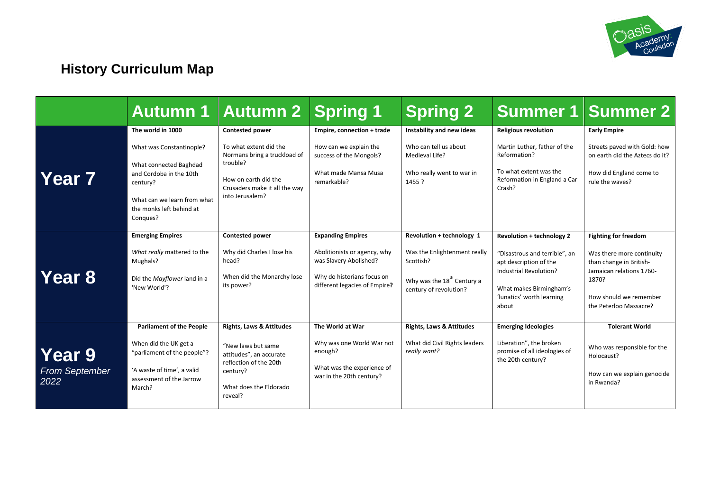

# **History Curriculum Map**

|                                         | Autumn 1                                                                                                                                                                              | <b>Autumn 2</b>                                                                                                                                                          | <b>Spring 1</b>                                                                                                                                   | <b>Spring 2</b>                                                                                                                            | Summer 1                                                                                                                                                                               | Summer 2                                                                                                                                                                     |
|-----------------------------------------|---------------------------------------------------------------------------------------------------------------------------------------------------------------------------------------|--------------------------------------------------------------------------------------------------------------------------------------------------------------------------|---------------------------------------------------------------------------------------------------------------------------------------------------|--------------------------------------------------------------------------------------------------------------------------------------------|----------------------------------------------------------------------------------------------------------------------------------------------------------------------------------------|------------------------------------------------------------------------------------------------------------------------------------------------------------------------------|
| Year 7                                  | The world in 1000<br>What was Constantinople?<br>What connected Baghdad<br>and Cordoba in the 10th<br>century?<br>What can we learn from what<br>the monks left behind at<br>Congues? | <b>Contested power</b><br>To what extent did the<br>Normans bring a truckload of<br>trouble?<br>How on earth did the<br>Crusaders make it all the way<br>into Jerusalem? | Empire, connection + trade<br>How can we explain the<br>success of the Mongols?<br>What made Mansa Musa<br>remarkable?                            | Instability and new ideas<br>Who can tell us about<br>Medieval Life?<br>Who really went to war in<br>1455 ?                                | <b>Religious revolution</b><br>Martin Luther, father of the<br>Reformation?<br>To what extent was the<br>Reformation in England a Car<br>Crash?                                        | <b>Early Empire</b><br>Streets paved with Gold: how<br>on earth did the Aztecs do it?<br>How did England come to<br>rule the waves?                                          |
| Year 8                                  | <b>Emerging Empires</b><br>What really mattered to the<br>Mughals?<br>Did the Mayflower land in a<br>'New World'?                                                                     | <b>Contested power</b><br>Why did Charles I lose his<br>head?<br>When did the Monarchy lose<br>its power?                                                                | <b>Expanding Empires</b><br>Abolitionists or agency, why<br>was Slavery Abolished?<br>Why do historians focus on<br>different legacies of Empire? | Revolution + technology 1<br>Was the Enlightenment really<br>Scottish?<br>Why was the 18 <sup>th</sup> Century a<br>century of revolution? | <b>Revolution + technology 2</b><br>"Disastrous and terrible", an<br>apt description of the<br>Industrial Revolution?<br>What makes Birmingham's<br>'lunatics' worth learning<br>about | <b>Fighting for freedom</b><br>Was there more continuity<br>than change in British-<br>Jamaican relations 1760-<br>1870?<br>How should we remember<br>the Peterloo Massacre? |
| Year 9<br><b>From September</b><br>2022 | <b>Parliament of the People</b><br>When did the UK get a<br>"parliament of the people"?<br>'A waste of time', a valid<br>assessment of the Jarrow<br>March?                           | <b>Rights, Laws &amp; Attitudes</b><br>"New laws but same<br>attitudes", an accurate<br>reflection of the 20th<br>century?<br>What does the Eldorado<br>reveal?          | The World at War<br>Why was one World War not<br>enough?<br>What was the experience of<br>war in the 20th century?                                | <b>Rights, Laws &amp; Attitudes</b><br>What did Civil Rights leaders<br>really want?                                                       | <b>Emerging Ideologies</b><br>Liberation", the broken<br>promise of all ideologies of<br>the 20th century?                                                                             | <b>Tolerant World</b><br>Who was responsible for the<br>Holocaust?<br>How can we explain genocide<br>in Rwanda?                                                              |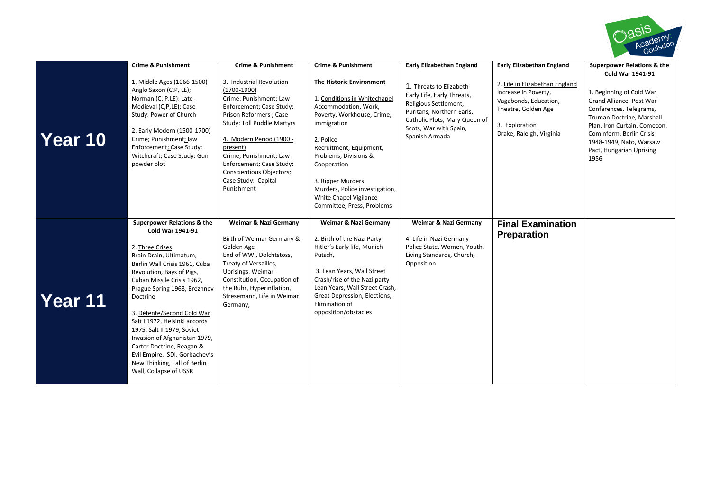

|         | <b>Crime &amp; Punishment</b>                                                                                                                                                                                                                                                                                                                                                                                                                                                                         | <b>Crime &amp; Punishment</b>                                                                                                                                                                                                                                                                                           | <b>Crime &amp; Punishment</b>                                                                                                                                                                                                                                                                                                       | <b>Early Elizabethan England</b>                                                                                                                                                         | <b>Early Elizabethan England</b>                                                                                                                     | <b>Superpower Relations &amp; the</b>                                                                                                                                                                                                                              |
|---------|-------------------------------------------------------------------------------------------------------------------------------------------------------------------------------------------------------------------------------------------------------------------------------------------------------------------------------------------------------------------------------------------------------------------------------------------------------------------------------------------------------|-------------------------------------------------------------------------------------------------------------------------------------------------------------------------------------------------------------------------------------------------------------------------------------------------------------------------|-------------------------------------------------------------------------------------------------------------------------------------------------------------------------------------------------------------------------------------------------------------------------------------------------------------------------------------|------------------------------------------------------------------------------------------------------------------------------------------------------------------------------------------|------------------------------------------------------------------------------------------------------------------------------------------------------|--------------------------------------------------------------------------------------------------------------------------------------------------------------------------------------------------------------------------------------------------------------------|
| Year 10 | 1. Middle Ages (1066-1500)<br>Anglo Saxon (C,P, LE);<br>Norman (C, P,LE); Late-<br>Medieval (C,P,LE); Case<br>Study: Power of Church<br>2. Early Modern (1500-1700)<br>Crime; Punishment; law<br>Enforcement; Case Study:<br>Witchcraft; Case Study: Gun<br>powder plot                                                                                                                                                                                                                               | 3. Industrial Revolution<br>$(1700-1900)$<br>Crime; Punishment; Law<br>Enforcement; Case Study:<br>Prison Reformers ; Case<br>Study: Toll Puddle Martyrs<br>4. Modern Period (1900 -<br>present)<br>Crime; Punishment; Law<br>Enforcement; Case Study:<br>Conscientious Objectors;<br>Case Study: Capital<br>Punishment | <b>The Historic Environment</b><br>1. Conditions in Whitechapel<br>Accommodation, Work,<br>Poverty, Workhouse, Crime,<br>immigration<br>2. Police<br>Recruitment, Equipment,<br>Problems, Divisions &<br>Cooperation<br>3. Ripper Murders<br>Murders, Police investigation,<br>White Chapel Vigilance<br>Committee, Press, Problems | 1. Threats to Elizabeth<br>Early Life, Early Threats,<br>Religious Settlement,<br>Puritans, Northern Earls,<br>Catholic Plots, Mary Queen of<br>Scots, War with Spain,<br>Spanish Armada | 2. Life in Elizabethan England<br>Increase in Poverty,<br>Vagabonds, Education,<br>Theatre, Golden Age<br>3. Exploration<br>Drake, Raleigh, Virginia | <b>Cold War 1941-91</b><br>1. Beginning of Cold War<br>Grand Alliance, Post War<br>Conferences, Telegrams,<br>Truman Doctrine, Marshall<br>Plan, Iron Curtain, Comecon,<br>Cominform, Berlin Crisis<br>1948-1949, Nato, Warsaw<br>Pact, Hungarian Uprising<br>1956 |
| Year 11 | <b>Superpower Relations &amp; the</b><br>Cold War 1941-91<br>2. Three Crises<br>Brain Drain, Ultimatum,<br>Berlin Wall Crisis 1961, Cuba<br>Revolution, Bays of Pigs,<br>Cuban Missile Crisis 1962,<br>Prague Spring 1968, Brezhnev<br>Doctrine<br>3. Détente/Second Cold War<br>Salt I 1972, Helsinki accords<br>1975, Salt II 1979, Soviet<br>Invasion of Afghanistan 1979,<br>Carter Doctrine, Reagan &<br>Evil Empire, SDI, Gorbachev's<br>New Thinking, Fall of Berlin<br>Wall, Collapse of USSR | Weimar & Nazi Germany<br><b>Birth of Weimar Germany &amp;</b><br>Golden Age<br>End of WWI, Dolchtstoss,<br>Treaty of Versailles,<br>Uprisings, Weimar<br>Constitution, Occupation of<br>the Ruhr, Hyperinflation,<br>Stresemann, Life in Weimar<br>Germany,                                                             | <b>Weimar &amp; Nazi Germany</b><br>2. Birth of the Nazi Party<br>Hitler's Early life, Munich<br>Putsch,<br>3. Lean Years, Wall Street<br>Crash/rise of the Nazi party<br>Lean Years, Wall Street Crash,<br>Great Depression, Elections,<br>Elimination of<br>opposition/obstacles                                                  | <b>Weimar &amp; Nazi Germany</b><br>4. Life in Nazi Germany<br>Police State, Women, Youth,<br>Living Standards, Church,<br>Opposition                                                    | <b>Final Examination</b><br><b>Preparation</b>                                                                                                       |                                                                                                                                                                                                                                                                    |